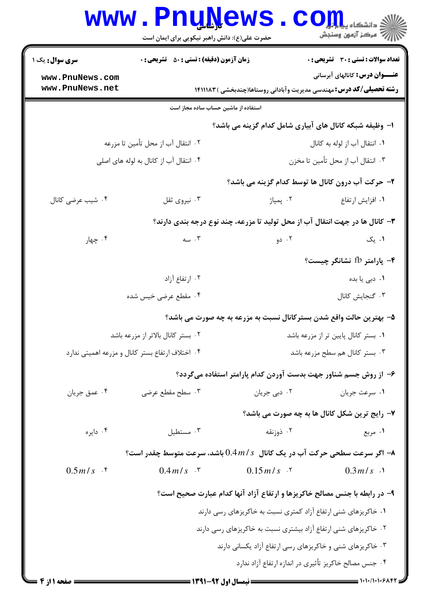| <b>سری سوال :</b> یک ۱                                                                                                            | <b>زمان آزمون (دقیقه) : تستی : 50 ٪ تشریحی : 0</b>                                          |                                                         | تعداد سوالات : تستي : 30 ٪ تشريحي : 0                                      |  |
|-----------------------------------------------------------------------------------------------------------------------------------|---------------------------------------------------------------------------------------------|---------------------------------------------------------|----------------------------------------------------------------------------|--|
| www.PnuNews.com                                                                                                                   |                                                                                             |                                                         | <b>عنـــوان درس:</b> کانالهای آبرسانی                                      |  |
| www.PnuNews.net                                                                                                                   |                                                                                             |                                                         | <b>رشته تحصیلی/کد درس:</b> مهندسی مدیریت وآبادانی روستاها(چندبخشی )۱۴۱۱۱۸۳ |  |
|                                                                                                                                   | استفاده از ماشین حساب ساده مجاز است                                                         |                                                         |                                                                            |  |
|                                                                                                                                   |                                                                                             | ا– وظیفه شبکه کانال های آبیاری شامل کدام گزینه می باشد؟ |                                                                            |  |
|                                                                                                                                   | ۰۲ انتقال آب از محل تأمین تا مزرعه                                                          |                                                         | ۰۱ انتقال آب از لوله به كانال                                              |  |
|                                                                                                                                   | ۰۴ انتقال آب از کانال به لوله های اصلی                                                      |                                                         | ۰۳ انتقال آب از محل تأمین تا مخزن                                          |  |
|                                                                                                                                   |                                                                                             |                                                         | ۲- حرکت آب درون کانال ها توسط کدام گزینه می باشد؟                          |  |
| ۰۴ شیب عرضی کانال                                                                                                                 | ۰۳ نیروی ثقل                                                                                | ۰۲ پمپاژ                                                | ۰۱ افزایش ارتفاع                                                           |  |
| ۳- کانال ها در جهت انتقال آب از محل تولید تا مزرعه، چند نوع درجه بندی دارند؟                                                      |                                                                                             |                                                         |                                                                            |  |
| ۰۴ چهار                                                                                                                           | ۰۳ سه                                                                                       | ۰۲ دو                                                   | ۰۱ یک                                                                      |  |
|                                                                                                                                   |                                                                                             |                                                         | ۴- پارامتر fb نشانگر چیست؟                                                 |  |
|                                                                                                                                   | ۰۲ ارتفاع آزاد                                                                              |                                                         | ۰۱ دبی یا بده                                                              |  |
| ۰۴ مقطع عرضی خیس شده                                                                                                              |                                                                                             |                                                         | ٠٣ گنجايش كانال                                                            |  |
|                                                                                                                                   |                                                                                             |                                                         | ۵– بهترین حالت واقع شدن بسترکانال نسبت به مزرعه به چه صورت می باشد؟        |  |
| ۰۲ بستر کانال بالاتر از مزرعه باشد                                                                                                |                                                                                             |                                                         | ٠١ بستر كانال پايين تر از مزرعه باشد                                       |  |
|                                                                                                                                   | ۰۴ اختلاف ارتفاع بستر كانال و مزرعه اهميتي ندارد                                            |                                                         | ۰۳ بستر کانال هم سطح مزرعه باشد                                            |  |
|                                                                                                                                   |                                                                                             |                                                         | ۶– از روش جسم شناور جهت بدست آوردن کدام پارامتر استفاده میگردد؟            |  |
| ۰۴ عمق جريان                                                                                                                      | ۰۳ سطح مقطع عرضی                                                                            | ۰۲ دبی جریان                                            | ۰۱ سرعت جريان                                                              |  |
|                                                                                                                                   |                                                                                             |                                                         | ٧- رايج ترين شكل كانال ها به چه صورت مي باشد؟                              |  |
| ۰۴ دايره                                                                                                                          | ۰۳ مستطيل                                                                                   | ۰۲ ذوزنقه                                               | ۰۱ مربع                                                                    |  |
|                                                                                                                                   | اگر سرعت سطحی حرکت آب در یک کانال $0.4\,m$ باشد، سرعت متوسط چقدر است؟ $\blacktriangleright$ |                                                         |                                                                            |  |
| $0.5 m/s$ . $\zeta$                                                                                                               | $0.4 m/s$ $.7$                                                                              | $0.15 \, m/s$ . T                                       | $0.3 m/s$ .                                                                |  |
|                                                                                                                                   |                                                                                             |                                                         | ۹- در رابطه با جنس مصالح خاکریزها و ارتفاع آزاد آنها کدام عبارت صحیح است؟  |  |
|                                                                                                                                   |                                                                                             |                                                         |                                                                            |  |
| ۰۱ خاکریزهای شنی ارتفاع آزاد کمتری نسبت به خاکریزهای رسی دارند<br>۰۲ خاکریزهای شنی ارتفاع آزاد بیشتری نسبت به خاکریزهای رسی دارند |                                                                                             |                                                         |                                                                            |  |
| ۰۳ خاکریزهای شنی و خاکریزهای رسی ارتفاع آزاد یکسانی دارند                                                                         |                                                                                             |                                                         |                                                                            |  |
|                                                                                                                                   |                                                                                             |                                                         | ۰۴ جنس مصالح خاکریز تأثیری در اندازه ارتفاع آزاد ندارد                     |  |
| <b>: صفحه ۱۱ز 4</b>                                                                                                               |                                                                                             | ـــــــــــ نیمسال اول ۹۲-۱۳۹۱ =                        | $=$ $\cdot \cdot \cdot \cdot \cdot \cdot \cdot \cdot$                      |  |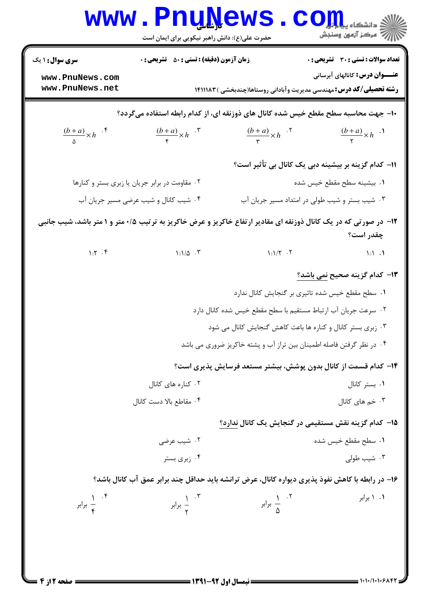|                                                                                                                               | <b>I LLI'I C M !</b><br>حضرت علی(ع): دانش راهبر نیکویی برای ایمان است              |                                                                                                  | ≧ دانشگاه پ <b>یا ب</b><br>رِ ۖ مرڪز آزمون وسنڊش |  |  |  |
|-------------------------------------------------------------------------------------------------------------------------------|------------------------------------------------------------------------------------|--------------------------------------------------------------------------------------------------|--------------------------------------------------|--|--|--|
| <b>سری سوال : ۱ یک</b>                                                                                                        | <b>زمان آزمون (دقیقه) : تستی : 50 ٪ تشریحی : 0</b>                                 |                                                                                                  | <b>تعداد سوالات : تستی : 30 ٪ تشریحی : 0</b>     |  |  |  |
| www.PnuNews.com<br>www.PnuNews.net                                                                                            |                                                                                    | <b>رشته تحصیلی/کد درس:</b> مهندسی مدیریت وآبادانی روستاها(چندبخشی )۱۴۱۱۱۸۳                       | <b>عنـــوان درس:</b> کانالهای آبرسانی            |  |  |  |
|                                                                                                                               | ∙ا− جهت محاسبه سطح مقطع خیس شده کانال های ذوزنقه ای، از کدام رابطه استفاده می5ردد؟ |                                                                                                  |                                                  |  |  |  |
| $\frac{(b+a)}{a} \times h$ .*                                                                                                 | $\frac{(b+a)}{f} \times h$ . $\sqrt[n]{ }$                                         | $\frac{(b+a)}{r} \times h$ . <sup>7</sup>                                                        | $\frac{(b+a)}{x} \times h$ .                     |  |  |  |
|                                                                                                                               |                                                                                    | 11– کدام گزینه بر بیشینه دبی یک کانال بی تأثیر است؟                                              |                                                  |  |  |  |
|                                                                                                                               | ٠٢ مقاومت در برابر جريان يا زبرى بستر و كنارها                                     |                                                                                                  | ٠١. بيشينه سطح مقطع خيس شده                      |  |  |  |
|                                                                                                                               | ۰۴ شیب کانال و شیب عرضی مسیر جریان آب                                              | ۰۳ شیب بستر و شیب طولی در امتداد مسیر جریان آب                                                   |                                                  |  |  |  |
| ۱۲- در صورتی که در یک کانال ذوزنقه ای مقادیر ارتفاع خاکریز و عرض خاکریز به ترتیب ۰/۵ متر و ۱ متر باشد، شیب جانبی<br>چقدر است؟ |                                                                                    |                                                                                                  |                                                  |  |  |  |
| $1:Y \cdot Y$                                                                                                                 | $1:1/\Delta$ .                                                                     | $\lambda$ : $\lambda/\tau$ . $\tau$                                                              | $\mathcal{N}:\mathcal{N}\rightarrow\mathcal{N}$  |  |  |  |
|                                                                                                                               |                                                                                    |                                                                                                  | ۱۳– کدام گزینه صحیح <u>نمی باشد؟</u>             |  |  |  |
|                                                                                                                               |                                                                                    | ٠١. سطح مقطع خيس شده تاثيري بر گنجايش كانال ندارد                                                |                                                  |  |  |  |
|                                                                                                                               |                                                                                    | ۰۲ سرعت جریان آب ارتباط مستقیم با سطح مقطع خیس شده کانال دارد                                    |                                                  |  |  |  |
|                                                                                                                               |                                                                                    | ۰۳ زبری بستر کانال و کناره ها باعث کاهش گنجایش کانال می شود                                      |                                                  |  |  |  |
|                                                                                                                               |                                                                                    | ۰۴ در نظر گرفتن فاصله اطمینان بین تراز آب و پشته خاکریز ضروری می باشد                            |                                                  |  |  |  |
|                                                                                                                               |                                                                                    | ۱۴– کدام قسمت از کانال بدون پوشش، بیشتر مستعد فرسایش پذیری است؟                                  |                                                  |  |  |  |
| ۰۲ کناره های کانال                                                                                                            |                                                                                    |                                                                                                  | ۰۱ بستر کانال                                    |  |  |  |
|                                                                                                                               | ۰۴ مقاطع بالا دست كانال                                                            |                                                                                                  | ۰۳ خم های کانال                                  |  |  |  |
|                                                                                                                               |                                                                                    | ۱۵– کدام گزینه نقش مستقیمی در گنجایش یک کانال ندارد؟                                             |                                                  |  |  |  |
|                                                                                                                               | ۰۲ شیب عرضی                                                                        |                                                                                                  | ٠١. سطح مقطع خيس شده                             |  |  |  |
|                                                                                                                               | ۰۴ زبری بستر                                                                       |                                                                                                  | ۰۳ شیب طولی                                      |  |  |  |
|                                                                                                                               |                                                                                    | ۱۶- در رابطه با کاهش نفوذ پذیری دیواره کانال، عرض ترانشه باید حداقل چند برابر عمق آب کانال باشد؟ |                                                  |  |  |  |
| ۰۴ $\frac{1}{x}$ برابر                                                                                                        | ۰۴ $\frac{1}{\mathsf{v}}$ برابر $\frac{1}{\mathsf{v}}$                             | ۰۲ $\frac{1}{\Delta}$ برابر $\frac{1}{\Delta}$                                                   | ۰۱ ۱ برابر                                       |  |  |  |
|                                                                                                                               |                                                                                    |                                                                                                  |                                                  |  |  |  |
|                                                                                                                               |                                                                                    |                                                                                                  |                                                  |  |  |  |

 $\blacksquare$  )  $\cdot$  )  $\cdot$  )  $\cdot$  )  $\cdot$   $\triangleright$   $\wedge$   $\ast$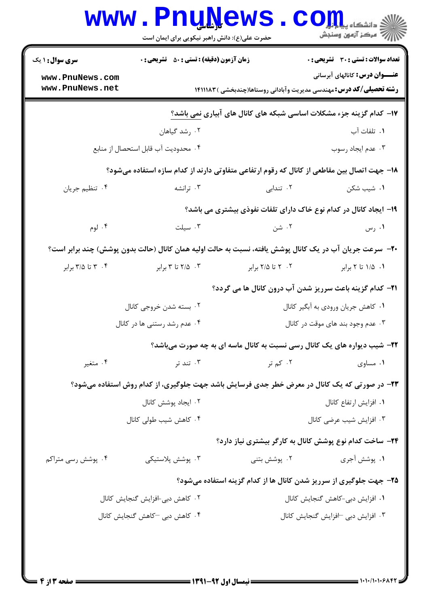|                                    | حضرت علی(ع): دانش راهبر نیکویی برای ایمان است                                                           | www.PnuNews                                                                 | $\mathbf{C}\mathbf{O}\mathbf{H}$ وانشڪاء پ<br>أأأأ مركز آزمون وسنجش |  |  |
|------------------------------------|---------------------------------------------------------------------------------------------------------|-----------------------------------------------------------------------------|---------------------------------------------------------------------|--|--|
| <b>سری سوال : ۱ یک</b>             | زمان آزمون (دقیقه) : تستی : 50 ٪ تشریحی : 0                                                             |                                                                             | <b>تعداد سوالات : تستی : 30 ٪ تشریحی : 0</b>                        |  |  |
| www.PnuNews.com<br>www.PnuNews.net |                                                                                                         | <b>رشته تحصیلی/کد درس:</b> مهندسی مدیریت وآبادانی روستاها(چندبخشی ) ۱۴۱۱۱۸۳ | <b>عنـــوان درس:</b> کانالهای آبرسانی                               |  |  |
|                                    | ۱۷- کدام گزینه جزء مشکلات اساسی شبکه های کانال های آبیاری نمی باشد؟                                     |                                                                             |                                                                     |  |  |
|                                    | ۰۲ رشد گیاهان                                                                                           |                                                                             | ۰۱ تلفات آب                                                         |  |  |
|                                    | ۰۴ محدودیت آب قابل استحصال از منابع                                                                     |                                                                             | ۰۳ عدم ایجاد رسوب                                                   |  |  |
|                                    | ۱۸– جهت اتصال بین مقاطعی از کانال که رقوم ارتفاعی متفاوتی دارند از کدام سازه استفاده میشود؟             |                                                                             |                                                                     |  |  |
| ۰۴ تنظیم جریان                     | ۰۳ ترانشه                                                                                               | ۰۲ تندابی                                                                   | ۰۱ شیب شکن                                                          |  |  |
|                                    |                                                                                                         | ۱۹- ایجاد کانال در کدام نوع خاک دارای تلفات نفوذی بیشتری می باشد؟           |                                                                     |  |  |
| ۰۴ لوم                             | ۰۳ سیلت                                                                                                 | ۰۲ شن                                                                       | ۰۱ رس                                                               |  |  |
|                                    | +۲- سرعت جریان آب در یک کانال پوشش یافته، نسبت به حالت اولیه همان کانال (حالت بدون پوشش) چند برابر است؟ |                                                                             |                                                                     |  |  |
| ۰۴ تا ۳/۵ برابر                    | ۰۳ تا ۳ برابر                                                                                           | ۲. ۲ تا ۲/۵ برابر                                                           | ۰۱ ۱/۵ تا ۲ برابر                                                   |  |  |
|                                    |                                                                                                         | <b>ا۲- کدام گزینه باعث سرریز شدن آب درون کانال ها می گردد؟</b>              |                                                                     |  |  |
|                                    | ٠١ كاهش جريان ورودي به آبكير كانال<br>۰۲ بسته شدن خروجی کانال                                           |                                                                             |                                                                     |  |  |
|                                    | ۰۴ عدم رشد رستنی ها در کانال                                                                            | ۰۳ عدم وجود بند های موقت در کانال                                           |                                                                     |  |  |
|                                    |                                                                                                         | ۲۲- شیب دیواره های یک کانال رسی نسبت به کانال ماسه ای به چه صورت میباشد؟    |                                                                     |  |  |
| ۰۴ متغیر                           | ۰۳ تند تر                                                                                               | ۰۲ کم تر                                                                    | ۰۱ مساوی                                                            |  |  |
|                                    | ۲۳- در صورتی که یک کانال در معرض خطر جدی فرسایش باشد جهت جلوگیری، از کدام روش استفاده میشود؟            |                                                                             |                                                                     |  |  |
|                                    | ۰۲ ایجاد پوشش کانال                                                                                     |                                                                             | ٠١. افزايش ارتفاع كانال                                             |  |  |
|                                    | ۰۴ کاهش شیب طولی کانال                                                                                  |                                                                             | ۰۳ افزایش شیب عرضی کانال                                            |  |  |
|                                    |                                                                                                         | ۲۴- ساخت کدام نوع پوشش کانال به کارگر بیشتری نیاز دارد؟                     |                                                                     |  |  |
| ۰۴ پوشش رسی متراکم                 | ۰۳ پوشش پلاستیکی                                                                                        | ۰ <sup>۲</sup> پوشش بتنی                                                    | ٠١. پوشش آجري                                                       |  |  |
|                                    |                                                                                                         | ۲۵- جهت جلوگیری از سرریز شدن کانال ها از کدام گزینه استفاده میشود؟          |                                                                     |  |  |
|                                    | ۰۲ کاهش دبی-افزایش گنجایش کانال                                                                         |                                                                             | ٠١ افزايش دبي-كاهش گنجايش كانال                                     |  |  |
|                                    | ۰۴ کاهش دبی –کاهش گنجایش کانال                                                                          |                                                                             | ۰۳ افزایش دبی افزایش گنجایش کانال                                   |  |  |